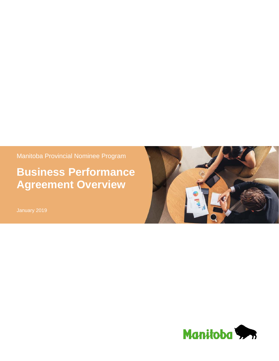Manitoba Provincial Nominee Program

# **Business Performance Agreement Overview**



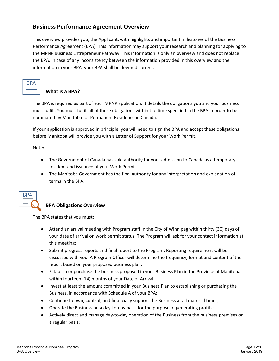## **Business Performance Agreement Overview**

This overview provides you, the Applicant, with highlights and important milestones of the Business Performance Agreement (BPA). This information may support your research and planning for applying to the MPNP Business Entrepreneur Pathway. This information is only an overview and does not replace the BPA. In case of any inconsistency between the information provided in this overview and the information in your BPA, your BPA shall be deemed correct.

### **What is a BPA?**

The BPA is required as part of your MPNP application. It details the obligations you and your business must fulfill. You must fulfill all of these obligations within the time specified in the BPA in order to be nominated by Manitoba for Permanent Residence in Canada.

If your application is approved in principle, you will need to sign the BPA and accept these obligations before Manitoba will provide you with a Letter of Support for your Work Permit.

Note:

- The Government of Canada has sole authority for your admission to Canada as a temporary resident and issuance of your Work Permit.
- The Manitoba Government has the final authority for any interpretation and explanation of terms in the BPA.



## **BPA Obligations Overview**

The BPA states that you must:

- Attend an arrival meeting with Program staff in the City of Winnipeg within thirty (30) days of your date of arrival on work permit status. The Program will ask for your contact information at this meeting;
- Submit progress reports and final report to the Program. Reporting requirement will be discussed with you. A Program Officer will determine the frequency, format and content of the report based on your proposed business plan.
- Establish or purchase the business proposed in your Business Plan in the Province of Manitoba within fourteen (14) months of your Date of Arrival;
- Invest at least the amount committed in your Business Plan to establishing or purchasing the Business, in accordance with Schedule A of your BPA;
- Continue to own, control, and financially support the Business at all material times;
- Operate the Business on a day-to-day basis for the purpose of generating profits;
- Actively direct and manage day-to-day operation of the Business from the business premises on a regular basis;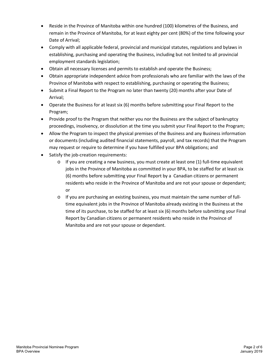- Reside in the Province of Manitoba within one hundred (100) kilometres of the Business, and remain in the Province of Manitoba, for at least eighty per cent (80%) of the time following your Date of Arrival;
- Comply with all applicable federal, provincial and municipal statutes, regulations and bylaws in establishing, purchasing and operating the Business, including but not limited to all provincial employment standards legislation;
- Obtain all necessary licenses and permits to establish and operate the Business;
- Obtain appropriate independent advice from professionals who are familiar with the laws of the Province of Manitoba with respect to establishing, purchasing or operating the Business;
- Submit a Final Report to the Program no later than twenty (20) months after your Date of Arrival;
- Operate the Business for at least six (6) months before submitting your Final Report to the Program;
- Provide proof to the Program that neither you nor the Business are the subject of bankruptcy proceedings, insolvency, or dissolution at the time you submit your Final Report to the Program;
- Allow the Program to inspect the physical premises of the Business and any Business information or documents (including audited financial statements, payroll, and tax records) that the Program may request or require to determine if you have fulfilled your BPA obligations; and
- Satisfy the job-creation requirements:
	- $\circ$  If you are creating a new business, you must create at least one (1) full-time equivalent jobs in the Province of Manitoba as committed in your BPA, to be staffed for at least six (6) months before submitting your Final Report by a Canadian citizens or permanent residents who reside in the Province of Manitoba and are not your spouse or dependant; or
	- $\circ$  If you are purchasing an existing business, you must maintain the same number of fulltime equivalent jobs in the Province of Manitoba already existing in the Business at the time of its purchase, to be staffed for at least six (6) months before submitting your Final Report by Canadian citizens or permanent residents who reside in the Province of Manitoba and are not your spouse or dependant.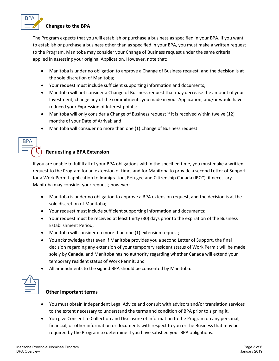

#### **Changes to the BPA**

The Program expects that you will establish or purchase a business as specified in your BPA. If you want to establish or purchase a business other than as specified in your BPA, you must make a written request to the Program. Manitoba may consider your Change of Business request under the same criteria applied in assessing your original Application. However, note that:

- Manitoba is under no obligation to approve a Change of Business request, and the decision is at the sole discretion of Manitoba;
- Your request must include sufficient supporting information and documents;
- Manitoba will not consider a Change of Business request that may decrease the amount of your Investment, change any of the commitments you made in your Application, and/or would have reduced your Expression of Interest points;
- Manitoba will only consider a Change of Business request if it is received within twelve (12) months of your Date of Arrival; and
- Manitoba will consider no more than one (1) Change of Business request.



## **Requesting a BPA Extension**

If you are unable to fulfill all of your BPA obligations within the specified time, you must make a written request to the Program for an extension of time, and for Manitoba to provide a second Letter of Support for a Work Permit application to Immigration, Refugee and Citizenship Canada (IRCC), if necessary. Manitoba may consider your request; however:

- Manitoba is under no obligation to approve a BPA extension request, and the decision is at the sole discretion of Manitoba;
- Your request must include sufficient supporting information and documents;
- Your request must be received at least thirty (30) days prior to the expiration of the Business Establishment Period;
- Manitoba will consider no more than one (1) extension request;
- You acknowledge that even if Manitoba provides you a second Letter of Support, the final decision regarding any extension of your temporary resident status of Work Permit will be made solely by Canada, and Manitoba has no authority regarding whether Canada will extend your temporary resident status of Work Permit; and
- All amendments to the signed BPA should be consented by Manitoba.



#### **Other important terms**

- You must obtain Independent Legal Advice and consult with advisors and/or translation services to the extent necessary to understand the terms and condition of BPA prior to signing it.
- You give Consent to Collection and Disclosure of Information to the Program on any personal, financial, or other information or documents with respect to you or the Business that may be required by the Program to determine if you have satisfied your BPA obligations.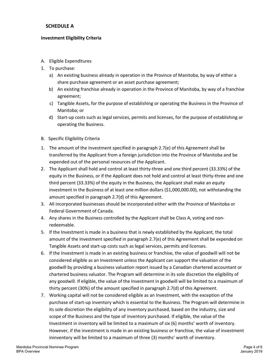#### **SCHEDULE A**

#### **Investment Eligibility Criteria**

- A. Eligible Expenditures
- 1. To purchase:
	- a) An existing business already in operation in the Province of Manitoba, by way of either a share purchase agreement or an asset purchase agreement;
	- b) An existing franchise already in operation in the Province of Manitoba, by way of a franchise agreement;
	- c) Tangible Assets, for the purpose of establishing or operating the Business in the Province of Manitoba; or
	- d) Start-up costs such as legal services, permits and licenses, for the purpose of establishing or operating the Business.
- B. Specific Eligibility Criteria
- 1. The amount of the Investment specified in paragraph 2.7(e) of this Agreement shall be transferred by the Applicant from a foreign jurisdiction into the Province of Manitoba and be expended out of the personal resources of the Applicant.
- 2. The Applicant shall hold and control at least thirty-three and one third percent (33.33%) of the equity in the Business, or if the Applicant does not hold and control at least thirty-three and one third percent (33.33%) of the equity in the Business, the Applicant shall make an equity investment in the Business of at least one million dollars (\$1,000,000.00), not withstanding the amount specified in paragraph 2.7(d) of this Agreement.
- 3. All incorporated businesses should be incorporated either with the Province of Manitoba or Federal Government of Canada.
- 4. Any shares in the Business controlled by the Applicant shall be Class A, voting and nonredeemable.
- 5. If the Investment is made in a business that is newly established by the Applicant, the total amount of the Investment specified in paragraph 2.7(e) of this Agreement shall be expended on Tangible Assets and start-up costs such as legal services, permits and licenses.
- 6. If the Investment is made in an existing business or franchise, the value of goodwill will not be considered eligible as an Investment unless the Applicant can support the valuation of the goodwill by providing a business valuation report issued by a Canadian chartered accountant or chartered business valuator. The Program will determine in its sole discretion the eligibility of any goodwill. If eligible, the value of the Investment in goodwill will be limited to a maximum of thirty percent (30%) of the amount specified in paragraph 2.7(d) of this Agreement.
- 7. Working capital will not be considered eligible as an Investment, with the exception of the purchase of start-up inventory which is essential to the Business. The Program will determine in its sole discretion the eligibility of any inventory purchased, based on the industry, size and scope of the Business and the type of inventory purchased. If eligible, the value of the Investment in inventory will be limited to a maximum of six (6) months' worth of inventory. However, if the investment is made in an existing business or franchise, the value of investment ininventory will be limited to a maximum of three (3) months' worth of inventory.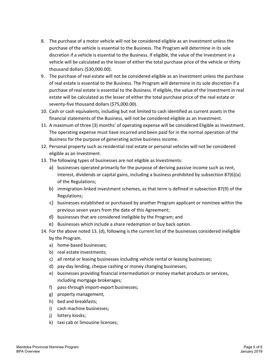- 8. The purchase of a motor vehicle will not be considered eligible as an Investment unless the purchase of the vehicle is essential to the Business. The Program will determine in its sole discretion if a vehicle is essential to the Business. If eligible, the value of the Investment in a vehicle will be calculated as the lesser of either the total purchase price of the vehicle or thirty thousand dollars (\$30,000.00).
- 9. The purchase of real estate will not be considered eligible as an Investment unless the purchase of real estate is essential to the Business. The Program will determine in its sole discretion if a purchase of real estate is essential to the Business. If eligible, the value of the Investment in real estate will be calculated as the lesser of either the total purchase price of the real estate or seventy-five thousand dollars (\$75,000.00).
- 10. Cash or cash equivalents, including but not limited to cash identified as current assets in the financial statements of the Business, will not be considered eligible as an Investment.
- 11. A maximum of three (3) months' of operating expense will be considered Eligible as Investment. The operating expense must have incurred and been paid for in the normal operation of the Business for the purpose of generating active business income.
- 12. Personal property such as residential real estate or personal vehicles will not be considered eligible as an Investment.
- 13. The following types of businesses are not eligible as Investments:
	- a) businesses operated primarily for the purpose of deriving passive income such as rent, interest, dividends or capital gains, including a business prohibited by subsection 87(6)(a) of the Regulations;
	- b) immigration-linked investment schemes, as that term is defined in subsection 87(9) of the Regulations;
	- c) businesses established or purchased by another Program applicant or nominee within the previous seven years from the date of this Agreement;
	- d) businesses that are considered ineligible by the Program; and
	- e) Businesses which include a share redemption or buy back option.
- 14. For the above noted 13. (d), following is the current list of the businesses considered ineligible by the Program.
	- a) home-based businesses;
	- b) real estate investments;
	- c) all rental or leasing businesses including vehicle rental or leasing businesses;
	- d) pay-day lending, cheque cashing or money changing businesses;
	- e) businesses providing financial intermediation or money market products or services, including mortgage brokerages;
	- f) pass-through import-export businesses;
	- g) property management,
	- h) bed and breakfasts;
	- i) cash machine businesses;
	- j) lottery kiosks;
	- k) taxi cab or limousine licenses;